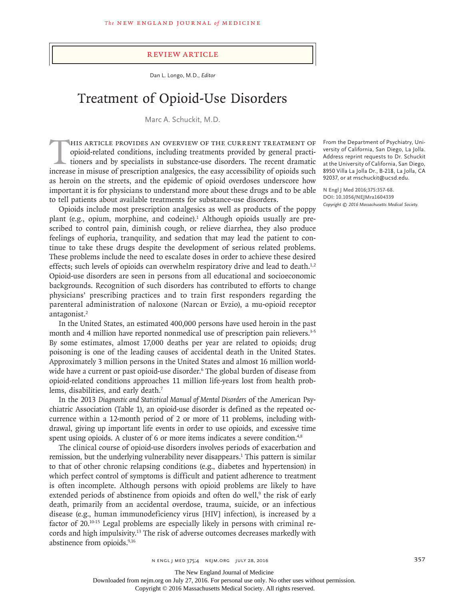#### Review Article

Dan L. Longo, M.D., *Editor*

# Treatment of Opioid-Use Disorders

Marc A. Schuckit, M.D.

HIS ARTICLE PROVIDES AN OVERVIEW OF THE CURRENT TREATMENT OF opioid-related conditions, including treatments provided by general practitioners and by specialists in substance-use disorders. The recent dramatic increase in opioid-related conditions, including treatments provided by general practitioners and by specialists in substance-use disorders. The recent dramatic increase in misuse of prescription analgesics, the easy accessibility of opioids such as heroin on the streets, and the epidemic of opioid overdoses underscore how important it is for physicians to understand more about these drugs and to be able to tell patients about available treatments for substance-use disorders.

Opioids include most prescription analgesics as well as products of the poppy plant (e.g., opium, morphine, and codeine).<sup>1</sup> Although opioids usually are prescribed to control pain, diminish cough, or relieve diarrhea, they also produce feelings of euphoria, tranquility, and sedation that may lead the patient to continue to take these drugs despite the development of serious related problems. These problems include the need to escalate doses in order to achieve these desired effects; such levels of opioids can overwhelm respiratory drive and lead to death.<sup>1,2</sup> Opioid-use disorders are seen in persons from all educational and socioeconomic backgrounds. Recognition of such disorders has contributed to efforts to change physicians' prescribing practices and to train first responders regarding the parenteral administration of naloxone (Narcan or Evzio), a mu-opioid receptor antagonist.<sup>2</sup>

In the United States, an estimated 400,000 persons have used heroin in the past month and 4 million have reported nonmedical use of prescription pain relievers.<sup>3-5</sup> By some estimates, almost 17,000 deaths per year are related to opioids; drug poisoning is one of the leading causes of accidental death in the United States. Approximately 3 million persons in the United States and almost 16 million worldwide have a current or past opioid-use disorder.6 The global burden of disease from opioid-related conditions approaches 11 million life-years lost from health problems, disabilities, and early death.<sup>7</sup>

In the 2013 *Diagnostic and Statistical Manual of Mental Disorders* of the American Psychiatric Association (Table 1), an opioid-use disorder is defined as the repeated occurrence within a 12-month period of 2 or more of 11 problems, including withdrawal, giving up important life events in order to use opioids, and excessive time spent using opioids. A cluster of 6 or more items indicates a severe condition.<sup>4,8</sup>

The clinical course of opioid-use disorders involves periods of exacerbation and remission, but the underlying vulnerability never disappears.<sup>1</sup> This pattern is similar to that of other chronic relapsing conditions (e.g., diabetes and hypertension) in which perfect control of symptoms is difficult and patient adherence to treatment is often incomplete. Although persons with opioid problems are likely to have extended periods of abstinence from opioids and often do well,<sup>9</sup> the risk of early death, primarily from an accidental overdose, trauma, suicide, or an infectious disease (e.g., human immunodeficiency virus [HIV] infection), is increased by a factor of 20.10-15 Legal problems are especially likely in persons with criminal records and high impulsivity.<sup>13</sup> The risk of adverse outcomes decreases markedly with abstinence from opioids.9,16

From the Department of Psychiatry, University of California, San Diego, La Jolla. Address reprint requests to Dr. Schuckit at the University of California, San Diego, 8950 Villa La Jolla Dr., B-218, La Jolla, CA 92037, or at mschuckit@ucsd.edu.

**N Engl J Med 2016;375:357-68. DOI: 10.1056/NEJMra1604339** *Copyright © 2016 Massachusetts Medical Society.*

The New England Journal of Medicine

Downloaded from nejm.org on July 27, 2016. For personal use only. No other uses without permission.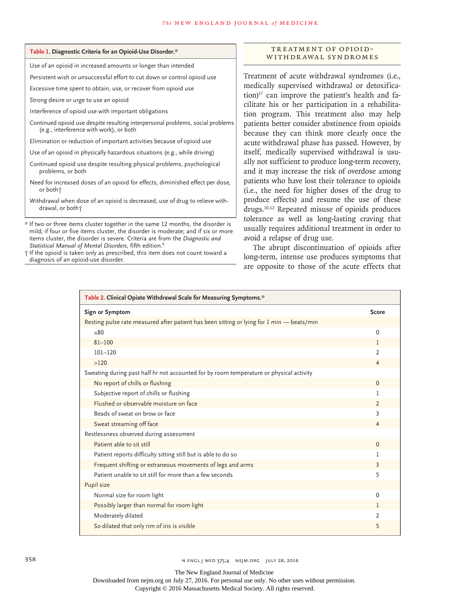| Table 1. Diagnostic Criteria for an Opioid-Use Disorder.*                |
|--------------------------------------------------------------------------|
| Use of an opioid in increased amounts or longer than intended            |
| Persistent wish or unsuccessful effort to cut down or control opioid use |
| Excessive time spent to obtain, use, or recover from opioid use          |
| Strong desire or urge to use an opioid                                   |
|                                                                          |

Interference of opioid use with important obligations

Continued opioid use despite resulting interpersonal problems, social problems (e.g., interference with work), or both

Elimination or reduction of important activities because of opioid use

Use of an opioid in physically hazardous situations (e.g., while driving)

Continued opioid use despite resulting physical problems, psychological problems, or both

Need for increased doses of an opioid for effects, diminished effect per dose, or both†

Withdrawal when dose of an opioid is decreased, use of drug to relieve withdrawal, or both†

\* If two or three items cluster together in the same 12 months, the disorder is mild; if four or five items cluster, the disorder is moderate; and if six or more items cluster, the disorder is severe. Criteria are from the *Diagnostic and Statistical Manual of Mental Disorders*, fifth edition.8

† If the opioid is taken only as prescribed, this item does not count toward a diagnosis of an opioid-use disorder.

## TREATMENT OF OPIOID-WITHDRAWAL SYNDROMES

Treatment of acute withdrawal syndromes (i.e., medically supervised withdrawal or detoxification)<sup>17</sup> can improve the patient's health and facilitate his or her participation in a rehabilitation program. This treatment also may help patients better consider abstinence from opioids because they can think more clearly once the acute withdrawal phase has passed. However, by itself, medically supervised withdrawal is usually not sufficient to produce long-term recovery, and it may increase the risk of overdose among patients who have lost their tolerance to opioids (i.e., the need for higher doses of the drug to produce effects) and resume the use of these drugs.10,12 Repeated misuse of opioids produces tolerance as well as long-lasting craving that usually requires additional treatment in order to avoid a relapse of drug use.

The abrupt discontinuation of opioids after long-term, intense use produces symptoms that are opposite to those of the acute effects that

| Table 2. Clinical Opiate Withdrawal Scale for Measuring Symptoms.*                        |                |
|-------------------------------------------------------------------------------------------|----------------|
| Sign or Symptom                                                                           | Score          |
| Resting pulse rate measured after patient has been sitting or lying for 1 min - beats/min |                |
| ≤80                                                                                       | $\mathbf 0$    |
| $81 - 100$                                                                                | $\mathbf{1}$   |
| $101 - 120$                                                                               | $\mathcal{P}$  |
| >120                                                                                      | $\overline{4}$ |
| Sweating during past half hr not accounted for by room temperature or physical activity   |                |
| No report of chills or flushing                                                           | $\Omega$       |
| Subjective report of chills or flushing                                                   | ı              |
| Flushed or observable moisture on face                                                    | 2              |
| Beads of sweat on brow or face                                                            | 3              |
| Sweat streaming off face                                                                  | $\overline{4}$ |
| Restlessness observed during assessment                                                   |                |
| Patient able to sit still                                                                 | $\Omega$       |
| Patient reports difficulty sitting still but is able to do so                             | ı              |
| Frequent shifting or extraneous movements of legs and arms                                | $\overline{3}$ |
| Patient unable to sit still for more than a few seconds                                   | 5              |
| Pupil size                                                                                |                |
| Normal size for room light                                                                | 0              |
| Possibly larger than normal for room light                                                | $\mathbb{I}$   |
| Moderately dilated                                                                        | $\overline{2}$ |
| So dilated that only rim of iris is visible                                               | 5              |

358 **358** N ENGL J MED 375;4 NEJM.ORG JULY 28, 2016

The New England Journal of Medicine

Downloaded from nejm.org on July 27, 2016. For personal use only. No other uses without permission.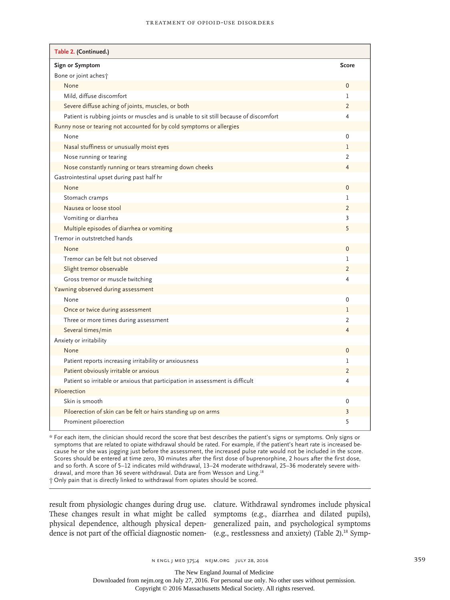| Table 2. (Continued.)                                                                 |                |
|---------------------------------------------------------------------------------------|----------------|
| Sign or Symptom                                                                       | <b>Score</b>   |
| Bone or joint aches t                                                                 |                |
| None                                                                                  | 0              |
| Mild, diffuse discomfort                                                              | 1              |
| Severe diffuse aching of joints, muscles, or both                                     | $\overline{2}$ |
| Patient is rubbing joints or muscles and is unable to sit still because of discomfort | 4              |
| Runny nose or tearing not accounted for by cold symptoms or allergies                 |                |
| None                                                                                  | 0              |
| Nasal stuffiness or unusually moist eyes                                              | $\mathbf{1}$   |
| Nose running or tearing                                                               | $\overline{2}$ |
| Nose constantly running or tears streaming down cheeks                                | $\overline{4}$ |
| Gastrointestinal upset during past half hr                                            |                |
| None                                                                                  | 0              |
| Stomach cramps                                                                        | $\mathbf{1}$   |
| Nausea or loose stool                                                                 | $\overline{2}$ |
| Vomiting or diarrhea                                                                  | 3              |
| Multiple episodes of diarrhea or vomiting                                             | 5              |
| Tremor in outstretched hands                                                          |                |
| None                                                                                  | 0              |
| Tremor can be felt but not observed                                                   | L              |
| Slight tremor observable                                                              | $\overline{2}$ |
| Gross tremor or muscle twitching                                                      | 4              |
| Yawning observed during assessment                                                    |                |
| None                                                                                  | 0              |
| Once or twice during assessment                                                       | 1              |
| Three or more times during assessment                                                 | $\overline{2}$ |
| Several times/min                                                                     | 4              |
| Anxiety or irritability                                                               |                |
| None                                                                                  | $\mathbf{0}$   |
| Patient reports increasing irritability or anxiousness                                | 1              |
| Patient obviously irritable or anxious                                                | $\overline{2}$ |
| Patient so irritable or anxious that participation in assessment is difficult         | 4              |
| Piloerection                                                                          |                |
| Skin is smooth                                                                        | 0              |
| Piloerection of skin can be felt or hairs standing up on arms                         | 3              |
| Prominent piloerection                                                                | 5              |

\* For each item, the clinician should record the score that best describes the patient's signs or symptoms. Only signs or symptoms that are related to opiate withdrawal should be rated. For example, if the patient's heart rate is increased because he or she was jogging just before the assessment, the increased pulse rate would not be included in the score. Scores should be entered at time zero, 30 minutes after the first dose of buprenorphine, 2 hours after the first dose, and so forth. A score of 5–12 indicates mild withdrawal, 13–24 moderate withdrawal, 25–36 moderately severe withdrawal, and more than 36 severe withdrawal. Data are from Wesson and Ling.<sup>18</sup> † Only pain that is directly linked to withdrawal from opiates should be scored.

result from physiologic changes during drug use. clature. Withdrawal syndromes include physical These changes result in what might be called symptoms (e.g., diarrhea and dilated pupils), physical dependence, although physical depen-generalized pain, and psychological symptoms dence is not part of the official diagnostic nomen- (e.g., restlessness and anxiety) (Table 2).<sup>18</sup> Symp-

The New England Journal of Medicine

Downloaded from nejm.org on July 27, 2016. For personal use only. No other uses without permission.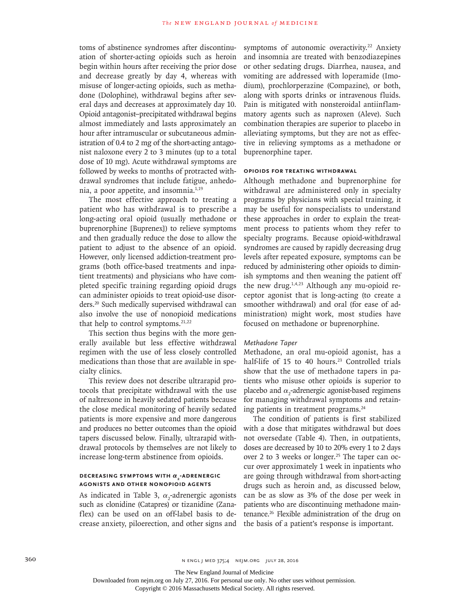toms of abstinence syndromes after discontinuation of shorter-acting opioids such as heroin begin within hours after receiving the prior dose and decrease greatly by day 4, whereas with misuse of longer-acting opioids, such as methadone (Dolophine), withdrawal begins after several days and decreases at approximately day 10. Opioid antagonist–precipitated withdrawal begins almost immediately and lasts approximately an hour after intramuscular or subcutaneous administration of 0.4 to 2 mg of the short-acting antagonist naloxone every 2 to 3 minutes (up to a total dose of 10 mg). Acute withdrawal symptoms are followed by weeks to months of protracted withdrawal syndromes that include fatigue, anhedonia, a poor appetite, and insomnia.1,19

The most effective approach to treating a patient who has withdrawal is to prescribe a long-acting oral opioid (usually methadone or buprenorphine [Buprenex]) to relieve symptoms and then gradually reduce the dose to allow the patient to adjust to the absence of an opioid. However, only licensed addiction-treatment programs (both office-based treatments and inpatient treatments) and physicians who have completed specific training regarding opioid drugs can administer opioids to treat opioid-use disorders.20 Such medically supervised withdrawal can also involve the use of nonopioid medications that help to control symptoms. $21,22$ 

This section thus begins with the more generally available but less effective withdrawal regimen with the use of less closely controlled medications than those that are available in specialty clinics.

This review does not describe ultrarapid protocols that precipitate withdrawal with the use of naltrexone in heavily sedated patients because the close medical monitoring of heavily sedated patients is more expensive and more dangerous and produces no better outcomes than the opioid tapers discussed below. Finally, ultrarapid withdrawal protocols by themselves are not likely to increase long-term abstinence from opioids.

## DECREASING SYMPTOMS WITH  $α_2$ -ADRENERGIC **Agonists and Other Nonopioid Agents**

As indicated in Table 3,  $\alpha_2$ -adrenergic agonists such as clonidine (Catapres) or tizanidine (Zanaflex) can be used on an off-label basis to decrease anxiety, piloerection, and other signs and

symptoms of autonomic overactivity.<sup>22</sup> Anxiety and insomnia are treated with benzodiazepines or other sedating drugs. Diarrhea, nausea, and vomiting are addressed with loperamide (Imodium), prochlorperazine (Compazine), or both, along with sports drinks or intravenous fluids. Pain is mitigated with nonsteroidal antiinflammatory agents such as naproxen (Aleve). Such combination therapies are superior to placebo in alleviating symptoms, but they are not as effective in relieving symptoms as a methadone or buprenorphine taper.

## **Opioids for Treating Withdrawal**

Although methadone and buprenorphine for withdrawal are administered only in specialty programs by physicians with special training, it may be useful for nonspecialists to understand these approaches in order to explain the treatment process to patients whom they refer to specialty programs. Because opioid-withdrawal syndromes are caused by rapidly decreasing drug levels after repeated exposure, symptoms can be reduced by administering other opioids to diminish symptoms and then weaning the patient off the new drug.1,4,23 Although any mu-opioid receptor agonist that is long-acting (to create a smoother withdrawal) and oral (for ease of administration) might work, most studies have focused on methadone or buprenorphine.

## *Methadone Taper*

Methadone, an oral mu-opioid agonist, has a half-life of  $15$  to  $40$  hours.<sup>23</sup> Controlled trials show that the use of methadone tapers in patients who misuse other opioids is superior to placebo and  $\alpha_2$ -adrenergic agonist-based regimens for managing withdrawal symptoms and retaining patients in treatment programs.24

The condition of patients is first stabilized with a dose that mitigates withdrawal but does not oversedate (Table 4). Then, in outpatients, doses are decreased by 10 to 20% every 1 to 2 days over 2 to 3 weeks or longer.<sup>25</sup> The taper can occur over approximately 1 week in inpatients who are going through withdrawal from short-acting drugs such as heroin and, as discussed below, can be as slow as 3% of the dose per week in patients who are discontinuing methadone maintenance.26 Flexible administration of the drug on the basis of a patient's response is important.

The New England Journal of Medicine

Downloaded from nejm.org on July 27, 2016. For personal use only. No other uses without permission.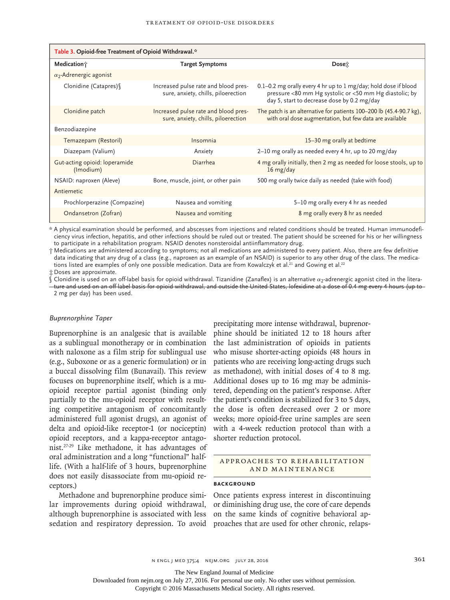| Table 3. Opioid-free Treatment of Opioid Withdrawal.* |                                                                             |                                                                                                                                                                          |
|-------------------------------------------------------|-----------------------------------------------------------------------------|--------------------------------------------------------------------------------------------------------------------------------------------------------------------------|
| Medication;                                           | <b>Target Symptoms</b>                                                      | Dose:                                                                                                                                                                    |
| $\alpha$ <sub>2</sub> -Adrenergic agonist             |                                                                             |                                                                                                                                                                          |
| Clonidine (Catapres) \\                               | Increased pulse rate and blood pres-<br>sure, anxiety, chills, piloerection | 0.1–0.2 mg orally every 4 hr up to 1 mg/day; hold dose if blood<br>pressure <80 mm Hg systolic or <50 mm Hg diastolic; by<br>day 5, start to decrease dose by 0.2 mg/day |
| Clonidine patch                                       | Increased pulse rate and blood pres-<br>sure, anxiety, chills, piloerection | The patch is an alternative for patients 100-200 lb (45.4-90.7 kg),<br>with oral dose augmentation, but few data are available                                           |
| Benzodiazepine                                        |                                                                             |                                                                                                                                                                          |
| Temazepam (Restoril)                                  | Insomnia                                                                    | 15-30 mg orally at bedtime                                                                                                                                               |
| Diazepam (Valium)                                     | Anxiety                                                                     | 2-10 mg orally as needed every 4 hr, up to 20 mg/day                                                                                                                     |
| Gut-acting opioid: loperamide<br>(Imodium)            | Diarrhea                                                                    | 4 mg orally initially, then 2 mg as needed for loose stools, up to<br>16 mg/day                                                                                          |
| NSAID: naproxen (Aleve)                               | Bone, muscle, joint, or other pain                                          | 500 mg orally twice daily as needed (take with food)                                                                                                                     |
| Antiemetic                                            |                                                                             |                                                                                                                                                                          |
| Prochlorperazine (Compazine)                          | Nausea and vomiting                                                         | 5-10 mg orally every 4 hr as needed                                                                                                                                      |
| Ondansetron (Zofran)                                  | Nausea and vomiting                                                         | 8 mg orally every 8 hr as needed                                                                                                                                         |

\* A physical examination should be performed, and abscesses from injections and related conditions should be treated. Human immunodeficiency virus infection, hepatitis, and other infections should be ruled out or treated. The patient should be screened for his or her willingness to participate in a rehabilitation program. NSAID denotes nonsteroidal antiinflammatory drug.

† Medications are administered according to symptoms; not all medications are administered to every patient. Also, there are few definitive data indicating that any drug of a class (e.g., naproxen as an example of an NSAID) is superior to any other drug of the class. The medications listed are examples of only one possible medication. Data are from Kowalczyk et al.<sup>21</sup> and Gowing et al.<sup>22</sup>

‡ Doses are approximate.

 $\mathbb S$  Clonidine is used on an off-label basis for opioid withdrawal. Tizanidine (Zanaflex) is an alternative  $\alpha_2$ -adrenergic agonist cited in the literature and used on an off-label basis for opioid withdrawal, and outside the United States, lofexidine at a dose of 0.4 mg every 4 hours (up to 2 mg per day) has been used.

#### *Buprenorphine Taper*

Buprenorphine is an analgesic that is available as a sublingual monotherapy or in combination with naloxone as a film strip for sublingual use (e.g., Suboxone or as a generic formulation) or in a buccal dissolving film (Bunavail). This review focuses on buprenorphine itself, which is a muopioid receptor partial agonist (binding only partially to the mu-opioid receptor with resulting competitive antagonism of concomitantly administered full agonist drugs), an agonist of delta and opioid-like receptor-1 (or nociceptin) opioid receptors, and a kappa-receptor antagonist.27-29 Like methadone, it has advantages of oral administration and a long "functional" halflife. (With a half-life of 3 hours, buprenorphine does not easily disassociate from mu-opioid receptors.)

Methadone and buprenorphine produce similar improvements during opioid withdrawal, although buprenorphine is associated with less sedation and respiratory depression. To avoid precipitating more intense withdrawal, buprenorphine should be initiated 12 to 18 hours after the last administration of opioids in patients who misuse shorter-acting opioids (48 hours in patients who are receiving long-acting drugs such as methadone), with initial doses of 4 to 8 mg. Additional doses up to 16 mg may be administered, depending on the patient's response. After the patient's condition is stabilized for 3 to 5 days, the dose is often decreased over 2 or more weeks; more opioid-free urine samples are seen with a 4-week reduction protocol than with a shorter reduction protocol.

## A PPROACHES TO REHABILITATION and Maintenance

#### **BACKGROUND**

Once patients express interest in discontinuing or diminishing drug use, the core of care depends on the same kinds of cognitive behavioral approaches that are used for other chronic, relaps-

The New England Journal of Medicine

Downloaded from nejm.org on July 27, 2016. For personal use only. No other uses without permission.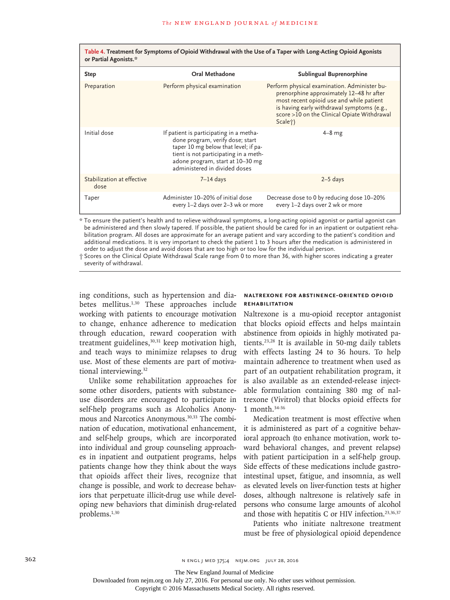| or Partial Agonists.*              |                                                                                                                                                                                                                                   | Table +. Treatment for Symptoms or Opiold Withdrawar with the OSE or a Taper with Long-Acting Opiold Agonists                                                                                                                                             |
|------------------------------------|-----------------------------------------------------------------------------------------------------------------------------------------------------------------------------------------------------------------------------------|-----------------------------------------------------------------------------------------------------------------------------------------------------------------------------------------------------------------------------------------------------------|
| <b>Step</b>                        | Oral Methadone                                                                                                                                                                                                                    | Sublingual Buprenorphine                                                                                                                                                                                                                                  |
| Preparation                        | Perform physical examination                                                                                                                                                                                                      | Perform physical examination. Administer bu-<br>prenorphine approximately 12-48 hr after<br>most recent opioid use and while patient<br>is having early withdrawal symptoms (e.g.,<br>score >10 on the Clinical Opiate Withdrawal<br>Scale <sup>†</sup> ) |
| Initial dose                       | If patient is participating in a metha-<br>done program, verify dose; start<br>taper 10 mg below that level; if pa-<br>tient is not participating in a meth-<br>adone program, start at 10-30 mg<br>administered in divided doses | $4-8$ mg                                                                                                                                                                                                                                                  |
| Stabilization at effective<br>dose | $7 - 14$ days                                                                                                                                                                                                                     | $2-5$ days                                                                                                                                                                                                                                                |
| Taper                              | Administer 10-20% of initial dose<br>every 1-2 days over 2-3 wk or more                                                                                                                                                           | Decrease dose to 0 by reducing dose 10-20%<br>every 1-2 days over 2 wk or more                                                                                                                                                                            |

**Table 4. Treatment for Symptoms of Opioid Withdrawal with the Use of a Taper with Long-Acting Opioid Agonists** 

\* To ensure the patient's health and to relieve withdrawal symptoms, a long-acting opioid agonist or partial agonist can be administered and then slowly tapered. If possible, the patient should be cared for in an inpatient or outpatient rehabilitation program. All doses are approximate for an average patient and vary according to the patient's condition and additional medications. It is very important to check the patient 1 to 3 hours after the medication is administered in order to adjust the dose and avoid doses that are too high or too low for the individual person.

† Scores on the Clinical Opiate Withdrawal Scale range from 0 to more than 36, with higher scores indicating a greater severity of withdrawal.

ing conditions, such as hypertension and diabetes mellitus.<sup>1,30</sup> These approaches include working with patients to encourage motivation to change, enhance adherence to medication through education, reward cooperation with treatment guidelines,<sup>30,31</sup> keep motivation high, and teach ways to minimize relapses to drug use. Most of these elements are part of motivational interviewing.<sup>32</sup>

Unlike some rehabilitation approaches for some other disorders, patients with substanceuse disorders are encouraged to participate in self-help programs such as Alcoholics Anonymous and Narcotics Anonymous.<sup>30,33</sup> The combination of education, motivational enhancement, and self-help groups, which are incorporated into individual and group counseling approaches in inpatient and outpatient programs, helps patients change how they think about the ways that opioids affect their lives, recognize that change is possible, and work to decrease behaviors that perpetuate illicit-drug use while developing new behaviors that diminish drug-related problems.1,30

#### **Naltrexone for Abstinence-Oriented Opioid Rehabilitation**

Naltrexone is a mu-opioid receptor antagonist that blocks opioid effects and helps maintain abstinence from opioids in highly motivated patients.23,28 It is available in 50-mg daily tablets with effects lasting 24 to 36 hours. To help maintain adherence to treatment when used as part of an outpatient rehabilitation program, it is also available as an extended-release injectable formulation containing 380 mg of naltrexone (Vivitrol) that blocks opioid effects for 1 month.34-36

Medication treatment is most effective when it is administered as part of a cognitive behavioral approach (to enhance motivation, work toward behavioral changes, and prevent relapse) with patient participation in a self-help group. Side effects of these medications include gastrointestinal upset, fatigue, and insomnia, as well as elevated levels on liver-function tests at higher doses, although naltrexone is relatively safe in persons who consume large amounts of alcohol and those with hepatitis C or HIV infection.<sup>23,36,37</sup>

Patients who initiate naltrexone treatment must be free of physiological opioid dependence

362 **N ENGL J MED 375;4 NEJM.ORG JULY 28, 2016** 

The New England Journal of Medicine

Downloaded from nejm.org on July 27, 2016. For personal use only. No other uses without permission.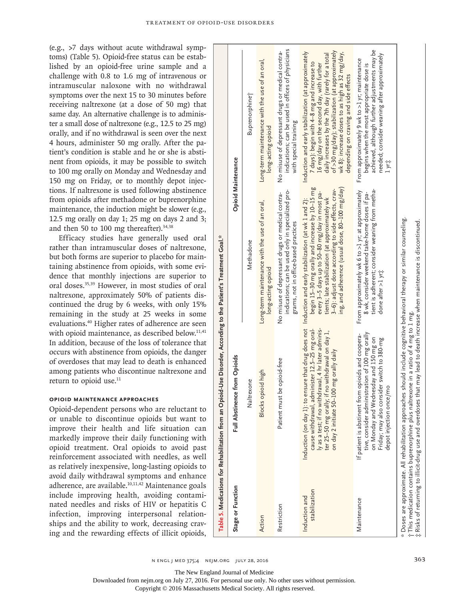(e.g., >7 days without acute withdrawal symptoms) (Table 5). Opioid-free status can be established by an opioid-free urine sample and a challenge with 0.8 to 1.6 mg of intravenous or intramuscular naloxone with no withdrawal symptoms over the next 15 to 30 minutes before receiving naltrexone (at a dose of 50 mg) that same day. An alternative challenge is to administer a small dose of naltrexone (e.g., 12.5 to 25 mg) orally, and if no withdrawal is seen over the next 4 hours, administer 50 mg orally. After the patient's condition is stable and he or she is abstinent from opioids, it may be possible to switch to 100 mg orally on Monday and Wednesday and 150 mg on Friday, or to monthly depot injections. If naltrexone is used following abstinence from opioids after methadone or buprenorphine maintenance, the induction might be slower (e.g., 12.5 mg orally on day 1; 25 mg on days 2 and 3; and then 50 to 100 mg thereafter).  $34,38$ 

Efficacy studies have generally used oral rather than intramuscular doses of naltrexone, but both forms are superior to placebo for maintaining abstinence from opioids, with some evidence that monthly injections are superior to oral doses.35,39 However, in most studies of oral naltrexone, approximately 50% of patients discontinued the drug by 6 weeks, with only 15% remaining in the study at 25 weeks in some evaluations.40 Higher rates of adherence are seen with opioid maintenance, as described below.<sup>11,41</sup> In addition, because of the loss of tolerance that occurs with abstinence from opioids, the danger of overdoses that may lead to death is enhanced among patients who discontinue naltrexone and return to opioid use.<sup>11</sup>

## **Opioid Maintenance Approaches**

Opioid-dependent persons who are reluctant to or unable to discontinue opioids but want to improve their health and life situation can markedly improve their daily functioning with opioid treatment. Oral opioids to avoid past reinforcement associated with needles, as well as relatively inexpensive, long-lasting opioids to avoid daily withdrawal symptoms and enhance adherence, are available.10,11,42 Maintenance goals include improving health, avoiding contaminated needles and risks of HIV or hepatitis C infection, improving interpersonal relationships and the ability to work, decreasing craving and the rewarding effects of illicit opioids,

|                                                      | Table 5. Medications for Rehabilitation from an Opioid-Use Disorder, According to the Patient's Treatment Goal."                                                                                                                   |                                                                                                                                                                                                                                                                                                                                              |                                                                                                                                                                                                                                                                                                                                                    |
|------------------------------------------------------|------------------------------------------------------------------------------------------------------------------------------------------------------------------------------------------------------------------------------------|----------------------------------------------------------------------------------------------------------------------------------------------------------------------------------------------------------------------------------------------------------------------------------------------------------------------------------------------|----------------------------------------------------------------------------------------------------------------------------------------------------------------------------------------------------------------------------------------------------------------------------------------------------------------------------------------------------|
| Stage or Function                                    | Full Abstinence from Opioids                                                                                                                                                                                                       |                                                                                                                                                                                                                                                                                                                                              | <b>Opioid Maintenance</b>                                                                                                                                                                                                                                                                                                                          |
|                                                      | Naltrexone                                                                                                                                                                                                                         | Methadone                                                                                                                                                                                                                                                                                                                                    | Buprenorphine;                                                                                                                                                                                                                                                                                                                                     |
| Action                                               | Blocks opioid high                                                                                                                                                                                                                 | Long-term maintenance with the use of an oral,<br>long-acting opioid                                                                                                                                                                                                                                                                         | Long-term maintenance with the use of an oral,<br>long-acting opioid                                                                                                                                                                                                                                                                               |
| Restriction                                          | Patient must be opioid-free                                                                                                                                                                                                        | indications; can be used only in specialized pro-<br>No misuse of depressant drugs or medical contra-<br>grams, not in office-based practices                                                                                                                                                                                                | indications; can be used in offices of physicians<br>No misuse of depressant drugs or medical contra-<br>with special training                                                                                                                                                                                                                     |
| stabilization<br>Induction and                       | cause withdrawal, administer 12.5-25 mg oral-<br>ly as a test; if no withdrawal, 4 hr later adminis-<br>if no withdrawal on day 1,<br>on day 2 initiate 50-100 mg orally daily<br>Induction (on day 1): to<br>ter 25-50 mg orally; | ing, and adherence (usual dose, $80-100$ mg/day)<br>begin 15–30 mg orally and increase by 10–15 mg<br>3-6): adjust dose according to side effects, crav-<br>every 3-5 days up to 50-80 mg/day in most pa-<br>tients; late stabilization (at approximately wk<br>ensure that drug does not Induction and early stabilization (at wk 1 and 2): | of >30 mg/day); stabilization (at approximately<br>Induction and early stabilization (at approximately<br>wk 8): increase doses to as high as 32 mg/day,<br>daily increases by the 7th day (rarely for a total<br>7 days): begin with 4-8 mg and increase to<br>16 mg/day on the second day, with further<br>depending on craving and side effects |
| Maintenance                                          | tive, consider administration of 100 mg orally<br>If patient is abstinent from opioids and coopera-<br>on Monday and Wednesday and 150 mg on<br>Friday; may also consider switch to 380-mg<br>depot injection once/mo              | tient is adherent; consider weaning from metha-<br>From approximately wk 6 to >1 yr; at approximately<br>8 wk, consider weekend take-home doses if pa-<br>done after >1 yr;                                                                                                                                                                  | achieved, although further adjustments may be<br>needed; consider weaning after approximately<br>From approximately 9 wk to >1 yr; maintenance<br>begins when the most appropriate dose is<br>lyri                                                                                                                                                 |
| Risks of returning to illicit-drug use and overdoses | * Doses are approximate. All rehabilitation approaches should include cognitive behavioral therapy or similar counseling.<br>$\uparrow$ This medication contains buprenorphine plus naltrexone in a ratio of 4 mg to 1 mg.         | that may lead to death increase when maintenance is discontinued.                                                                                                                                                                                                                                                                            |                                                                                                                                                                                                                                                                                                                                                    |

The New England Journal of Medicine

Table 5. Medications for Rehabilitation from an Opioid-Use Disorder, According to the Patient's Treatment Goal.\*

Downloaded from nejm.org on July 27, 2016. For personal use only. No other uses without permission.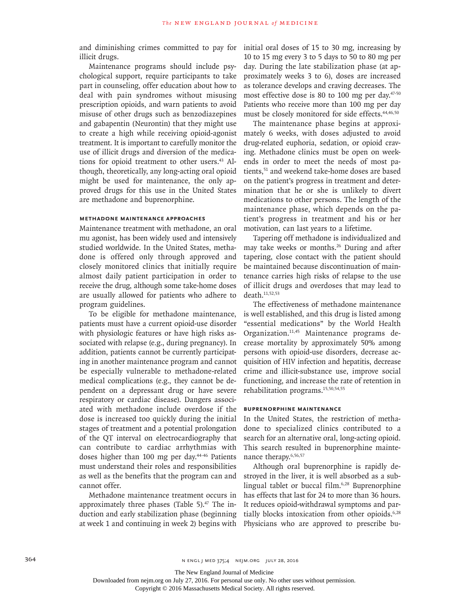and diminishing crimes committed to pay for illicit drugs.

Maintenance programs should include psychological support, require participants to take part in counseling, offer education about how to deal with pain syndromes without misusing prescription opioids, and warn patients to avoid misuse of other drugs such as benzodiazepines and gabapentin (Neurontin) that they might use to create a high while receiving opioid-agonist treatment. It is important to carefully monitor the use of illicit drugs and diversion of the medications for opioid treatment to other users.<sup>43</sup> Although, theoretically, any long-acting oral opioid might be used for maintenance, the only approved drugs for this use in the United States are methadone and buprenorphine.

## **Methadone Maintenance Approaches**

Maintenance treatment with methadone, an oral mu agonist, has been widely used and intensively studied worldwide. In the United States, methadone is offered only through approved and closely monitored clinics that initially require almost daily patient participation in order to receive the drug, although some take-home doses are usually allowed for patients who adhere to program guidelines.

To be eligible for methadone maintenance, patients must have a current opioid-use disorder with physiologic features or have high risks associated with relapse (e.g., during pregnancy). In addition, patients cannot be currently participating in another maintenance program and cannot be especially vulnerable to methadone-related medical complications (e.g., they cannot be dependent on a depressant drug or have severe respiratory or cardiac disease). Dangers associated with methadone include overdose if the dose is increased too quickly during the initial stages of treatment and a potential prolongation of the QT interval on electrocardiography that can contribute to cardiac arrhythmias with doses higher than 100 mg per day.44-46 Patients must understand their roles and responsibilities as well as the benefits that the program can and cannot offer.

Methadone maintenance treatment occurs in approximately three phases (Table 5). $47$  The induction and early stabilization phase (beginning at week 1 and continuing in week 2) begins with

initial oral doses of 15 to 30 mg, increasing by 10 to 15 mg every 3 to 5 days to 50 to 80 mg per day. During the late stabilization phase (at approximately weeks 3 to 6), doses are increased as tolerance develops and craving decreases. The most effective dose is 80 to 100 mg per day.<sup>47-50</sup> Patients who receive more than 100 mg per day must be closely monitored for side effects.<sup>44,46,50</sup>

The maintenance phase begins at approximately 6 weeks, with doses adjusted to avoid drug-related euphoria, sedation, or opioid craving. Methadone clinics must be open on weekends in order to meet the needs of most patients,<sup>51</sup> and weekend take-home doses are based on the patient's progress in treatment and determination that he or she is unlikely to divert medications to other persons. The length of the maintenance phase, which depends on the patient's progress in treatment and his or her motivation, can last years to a lifetime.

Tapering off methadone is individualized and may take weeks or months.<sup>26</sup> During and after tapering, close contact with the patient should be maintained because discontinuation of maintenance carries high risks of relapse to the use of illicit drugs and overdoses that may lead to death.11,52,53

The effectiveness of methadone maintenance is well established, and this drug is listed among "essential medications" by the World Health Organization.<sup>11,45</sup> Maintenance programs decrease mortality by approximately 50% among persons with opioid-use disorders, decrease acquisition of HIV infection and hepatitis, decrease crime and illicit-substance use, improve social functioning, and increase the rate of retention in rehabilitation programs.15,50,54,55

## **Buprenorphine Maintenance**

In the United States, the restriction of methadone to specialized clinics contributed to a search for an alternative oral, long-acting opioid. This search resulted in buprenorphine maintenance therapy.<sup>6,56,57</sup>

Although oral buprenorphine is rapidly destroyed in the liver, it is well absorbed as a sublingual tablet or buccal film.6,28 Buprenorphine has effects that last for 24 to more than 36 hours. It reduces opioid-withdrawal symptoms and partially blocks intoxication from other opioids.<sup>6,28</sup> Physicians who are approved to prescribe bu-

The New England Journal of Medicine

Downloaded from nejm.org on July 27, 2016. For personal use only. No other uses without permission.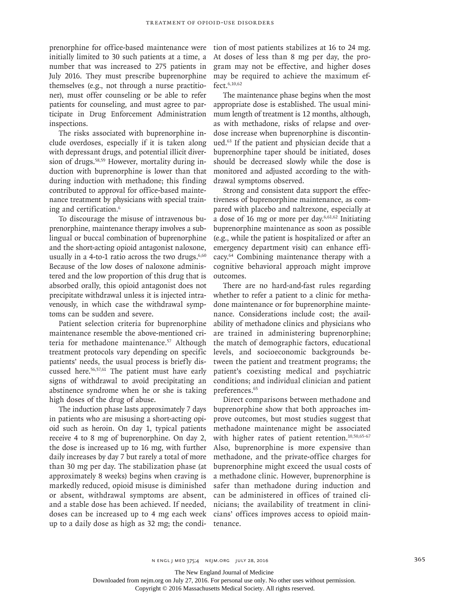prenorphine for office-based maintenance were initially limited to 30 such patients at a time, a number that was increased to 275 patients in July 2016. They must prescribe buprenorphine themselves (e.g., not through a nurse practitioner), must offer counseling or be able to refer patients for counseling, and must agree to participate in Drug Enforcement Administration inspections.

The risks associated with buprenorphine include overdoses, especially if it is taken along with depressant drugs, and potential illicit diversion of drugs.<sup>58,59</sup> However, mortality during induction with buprenorphine is lower than that during induction with methadone; this finding contributed to approval for office-based maintenance treatment by physicians with special training and certification.6

To discourage the misuse of intravenous buprenorphine, maintenance therapy involves a sublingual or buccal combination of buprenorphine and the short-acting opioid antagonist naloxone, usually in a 4-to-1 ratio across the two drugs. $6,60$ Because of the low doses of naloxone administered and the low proportion of this drug that is absorbed orally, this opioid antagonist does not precipitate withdrawal unless it is injected intravenously, in which case the withdrawal symptoms can be sudden and severe.

Patient selection criteria for buprenorphine maintenance resemble the above-mentioned criteria for methadone maintenance.<sup>57</sup> Although treatment protocols vary depending on specific patients' needs, the usual process is briefly discussed here.56,57,61 The patient must have early signs of withdrawal to avoid precipitating an abstinence syndrome when he or she is taking high doses of the drug of abuse.

The induction phase lasts approximately 7 days in patients who are misusing a short-acting opioid such as heroin. On day 1, typical patients receive 4 to 8 mg of buprenorphine. On day 2, the dose is increased up to 16 mg, with further daily increases by day 7 but rarely a total of more than 30 mg per day. The stabilization phase (at approximately 8 weeks) begins when craving is markedly reduced, opioid misuse is diminished or absent, withdrawal symptoms are absent, and a stable dose has been achieved. If needed, doses can be increased up to 4 mg each week up to a daily dose as high as 32 mg; the condition of most patients stabilizes at 16 to 24 mg. At doses of less than 8 mg per day, the program may not be effective, and higher doses may be required to achieve the maximum effect.6,10,62

The maintenance phase begins when the most appropriate dose is established. The usual minimum length of treatment is 12 months, although, as with methadone, risks of relapse and overdose increase when buprenorphine is discontinued.63 If the patient and physician decide that a buprenorphine taper should be initiated, doses should be decreased slowly while the dose is monitored and adjusted according to the withdrawal symptoms observed.

Strong and consistent data support the effectiveness of buprenorphine maintenance, as compared with placebo and naltrexone, especially at a dose of 16 mg or more per day. $6,61,62$  Initiating buprenorphine maintenance as soon as possible (e.g., while the patient is hospitalized or after an emergency department visit) can enhance efficacy.64 Combining maintenance therapy with a cognitive behavioral approach might improve outcomes.

There are no hard-and-fast rules regarding whether to refer a patient to a clinic for methadone maintenance or for buprenorphine maintenance. Considerations include cost; the availability of methadone clinics and physicians who are trained in administering buprenorphine; the match of demographic factors, educational levels, and socioeconomic backgrounds between the patient and treatment programs; the patient's coexisting medical and psychiatric conditions; and individual clinician and patient preferences.<sup>65</sup>

Direct comparisons between methadone and buprenorphine show that both approaches improve outcomes, but most studies suggest that methadone maintenance might be associated with higher rates of patient retention.<sup>10,50,65-67</sup> Also, buprenorphine is more expensive than methadone, and the private-office charges for buprenorphine might exceed the usual costs of a methadone clinic. However, buprenorphine is safer than methadone during induction and can be administered in offices of trained clinicians; the availability of treatment in clinicians' offices improves access to opioid maintenance.

The New England Journal of Medicine

Downloaded from nejm.org on July 27, 2016. For personal use only. No other uses without permission.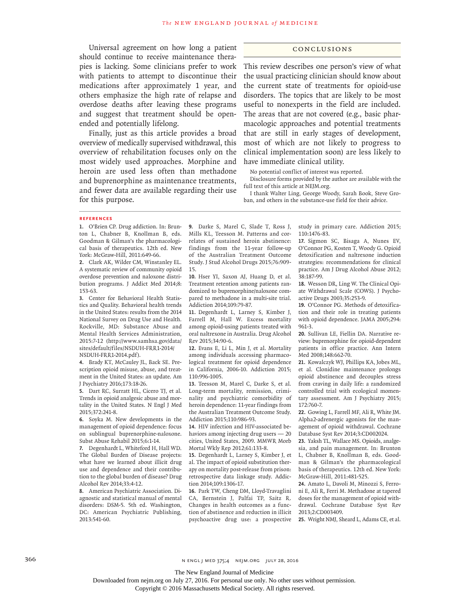Universal agreement on how long a patient should continue to receive maintenance therapies is lacking. Some clinicians prefer to work with patients to attempt to discontinue their medications after approximately 1 year, and others emphasize the high rate of relapse and overdose deaths after leaving these programs and suggest that treatment should be openended and potentially lifelong.

Finally, just as this article provides a broad overview of medically supervised withdrawal, this overview of rehabilitation focuses only on the most widely used approaches. Morphine and heroin are used less often than methadone and buprenorphine as maintenance treatments, and fewer data are available regarding their use for this purpose.

#### Conclusions

This review describes one person's view of what the usual practicing clinician should know about the current state of treatments for opioid-use disorders. The topics that are likely to be most useful to nonexperts in the field are included. The areas that are not covered (e.g., basic pharmacologic approaches and potential treatments that are still in early stages of development, most of which are not likely to progress to clinical implementation soon) are less likely to have immediate clinical utility.

No potential conflict of interest was reported.

Disclosure forms provided by the author are available with the full text of this article at NEJM.org.

I thank Walter Ling, George Woody, Sarah Book, Steve Groban, and others in the substance-use field for their advice.

#### **References**

**1.** O'Brien CP. Drug addiction. In: Brunton L, Chabner B, Knollman B, eds. Goodman & Gilman's the pharmacological basis of therapeutics. 12th ed. New York: McGraw-Hill, 2011:649-66.

**2.** Clark AK, Wilder CM, Winstanley EL. A systematic review of community opioid overdose prevention and naloxone distribution programs. J Addict Med 2014;8: 153-63.

**3.** Center for Behavioral Health Statistics and Quality. Behavioral health trends in the United States: results from the 2014 National Survey on Drug Use and Health. Rockville, MD: Substance Abuse and Mental Health Services Administration, 2015:7-12 (http://www.samhsa.gov/data/ sites/default/files/NSDUH-FRR1-2014/ NSDUH-FRR1-2014.pdf).

**4.** Brady KT, McCauley JL, Back SE. Prescription opioid misuse, abuse, and treatment in the United States: an update. Am J Psychiatry 2016;173:18-26.

**5.** Dart RC, Surratt HL, Cicero TJ, et al. Trends in opioid analgesic abuse and mortality in the United States. N Engl J Med 2015;372:241-8.

**6.** Soyka M. New developments in the management of opioid dependence: focus on sublingual buprenorphine-naloxone. Subst Abuse Rehabil 2015;6:1-14.

**7.** Degenhardt L, Whiteford H, Hall WD. The Global Burden of Disease projects: what have we learned about illicit drug use and dependence and their contribution to the global burden of disease? Drug Alcohol Rev 2014;33:4-12.

**8.** American Psychiatric Association. Diagnostic and statistical manual of mental disorders: DSM-5. 5th ed. Washington, DC: American Psychiatric Publishing, 2013:541-60.

**9.** Darke S, Marel C, Slade T, Ross J, Mills KL, Teesson M. Patterns and correlates of sustained heroin abstinence: findings from the 11-year follow-up of the Australian Treatment Outcome Study. J Stud Alcohol Drugs 2015;76:909- 15.

**10.** Hser YI, Saxon AJ, Huang D, et al. Treatment retention among patients randomized to buprenorphine/naloxone compared to methadone in a multi-site trial. Addiction 2014;109:79-87.

**11.** Degenhardt L, Larney S, Kimber J, Farrell M, Hall W. Excess mortality among opioid-using patients treated with oral naltrexone in Australia. Drug Alcohol Rev 2015;34:90-6.

**12.** Evans E, Li L, Min J, et al. Mortality among individuals accessing pharmacological treatment for opioid dependence in California, 2006-10. Addiction 2015; 110:996-1005.

**13.** Teesson M, Marel C, Darke S, et al. Long-term mortality, remission, criminality and psychiatric comorbidity of heroin dependence: 11-year findings from the Australian Treatment Outcome Study. Addiction 2015;110:986-93.

**14.** HIV infection and HIV-associated behaviors among injecting drug users — 20 cities, United States, 2009. MMWR Morb Mortal Wkly Rep 2012;61:133-8.

**15.** Degenhardt L, Larney S, Kimber J, et al. The impact of opioid substitution therapy on mortality post-release from prison: retrospective data linkage study. Addiction 2014;109:1306-17.

**16.** Park TW, Cheng DM, Lloyd-Travaglini CA, Bernstein J, Palfai TP, Saitz R. Changes in health outcomes as a function of abstinence and reduction in illicit psychoactive drug use: a prospective study in primary care. Addiction 2015; 110:1476-83.

**17.** Sigmon SC, Bisaga A, Nunes EV, O'Connor PG, Kosten T, Woody G. Opioid detoxification and naltrexone induction strategies: recommendations for clinical practice. Am J Drug Alcohol Abuse 2012; 38:187-99.

**18.** Wesson DR, Ling W. The Clinical Opiate Withdrawal Scale (COWS). J Psychoactive Drugs 2003;35:253-9.

**19.** O'Connor PG. Methods of detoxification and their role in treating patients with opioid dependence. JAMA 2005;294: 961-3.

**20.** Sullivan LE, Fiellin DA. Narrative review: buprenorphine for opioid-dependent patients in office practice. Ann Intern Med 2008;148:662-70.

**21.** Kowalczyk WJ, Phillips KA, Jobes ML, et al. Clonidine maintenance prolongs opioid abstinence and decouples stress from craving in daily life: a randomized controlled trial with ecological momentary assessment. Am J Psychiatry 2015; 172:760-7.

**22.** Gowing L, Farrell MF, Ali R, White JM. Alpha2-adrenergic agonists for the management of opioid withdrawal. Cochrane Database Syst Rev 2014;3:CD002024.

**23.** Yaksh TL, Wallace MS. Opioids, analgesia, and pain management. In: Brunton L, Chabner B, Knollman B, eds. Goodman & Gilman's the pharmacological basis of therapeutics. 12th ed. New York: McGraw-Hill, 2011:481-525.

**24.** Amato L, Davoli M, Minozzi S, Ferroni E, Ali R, Ferri M. Methadone at tapered doses for the management of opioid withdrawal. Cochrane Database Syst Rev 2013;2:CD003409.

**25.** Wright NMJ, Sheard L, Adams CE, et al.

366 n engl j med 375;4 nejm.org July 28, 2016

The New England Journal of Medicine

Downloaded from nejm.org on July 27, 2016. For personal use only. No other uses without permission.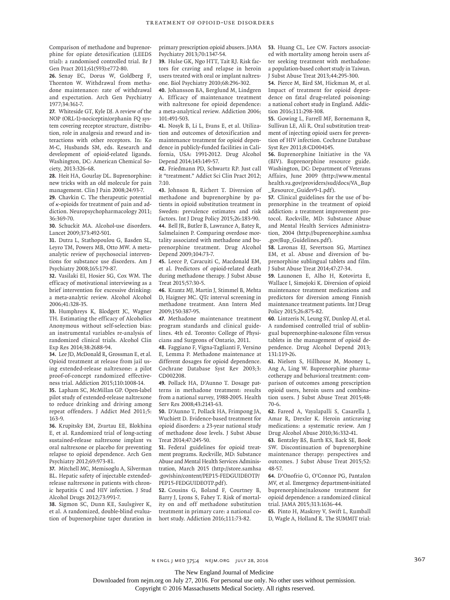Comparison of methadone and buprenorphine for opiate detoxification (LEEDS trial): a randomised controlled trial. Br J Gen Pract 2011;61(593):e772-80.

**26.** Senay EC, Dorus W, Goldberg F, Thornton W. Withdrawal from methadone maintenance: rate of withdrawal and expectation. Arch Gen Psychiatry 1977;34:361-7.

**27.** Whiteside GT, Kyle DJ. A review of the NOP (ORL-1)-nociceptin/orphanin FQ system covering receptor structure, distribution, role in analgesia and reward and interactions with other receptors. In: Ko M-C, Husbands SM, eds. Research and development of opioid-related ligands. Washington, DC: American Chemical Society, 2013:326-68.

**28.** Heit HA, Gourlay DL. Buprenorphine: new tricks with an old molecule for pain management. Clin J Pain 2008;24:93-7.

**29.** Chavkin C. The therapeutic potential of κ-opioids for treatment of pain and addiction. Neuropsychopharmacology 2011; 36:369-70.

**30.** Schuckit MA. Alcohol-use disorders. Lancet 2009;373:492-501.

**31.** Dutra L, Stathopoulou G, Basden SL, Leyro TM, Powers MB, Otto MW. A metaanalytic review of psychosocial interventions for substance use disorders. Am J Psychiatry 2008;165:179-87.

**32.** Vasilaki EI, Hosier SG, Cox WM. The efficacy of motivational interviewing as a brief intervention for excessive drinking: a meta-analytic review. Alcohol Alcohol 2006;41:328-35.

**33.** Humphreys K, Blodgett JC, Wagner TH. Estimating the efficacy of Alcoholics Anonymous without self-selection bias: an instrumental variables re-analysis of randomized clinical trials. Alcohol Clin Exp Res 2014;38:2688-94.

**34.** Lee JD, McDonald R, Grossman E, et al. Opioid treatment at release from jail using extended-release naltrexone: a pilot proof-of-concept randomized effectiveness trial. Addiction 2015;110:1008-14.

**35.** Lapham SC, McMillan GP. Open-label pilot study of extended-release naltrexone to reduce drinking and driving among repeat offenders. J Addict Med 2011;5: 163-9.

**36.** Krupitsky EM, Zvartau EE, Blokhina E, et al. Randomized trial of long-acting sustained-release naltrexone implant vs oral naltrexone or placebo for preventing relapse to opioid dependence. Arch Gen Psychiatry 2012;69:973-81.

**37.** Mitchell MC, Memisoglu A, Silverman BL. Hepatic safety of injectable extendedrelease naltrexone in patients with chronic hepatitis C and HIV infection. J Stud Alcohol Drugs 2012;73:991-7.

**38.** Sigmon SC, Dunn KE, Saulsgiver K, et al. A randomized, double-blind evaluation of buprenorphine taper duration in primary prescription opioid abusers. JAMA Psychiatry 2013;70:1347-54.

**39.** Hulse GK, Ngo HTT, Tait RJ. Risk factors for craving and relapse in heroin users treated with oral or implant naltrexone. Biol Psychiatry 2010;68:296-302.

**40.** Johansson BA, Berglund M, Lindgren A. Efficacy of maintenance treatment with naltrexone for opioid dependence: a meta-analytical review. Addiction 2006; 101:491-503.

**41.** Nosyk B, Li L, Evans E, et al. Utilization and outcomes of detoxification and maintenance treatment for opioid dependence in publicly-funded facilities in California, USA: 1991-2012. Drug Alcohol Depend 2014;143:149-57.

**42.** Friedmann PD, Schwartz RP. Just call it "treatment." Addict Sci Clin Pract 2012; 7:10.

**43.** Johnson B, Richert T. Diversion of methadone and buprenorphine by patients in opioid substitution treatment in Sweden: prevalence estimates and risk factors. Int J Drug Policy 2015;26:183-90. **44.** Bell JR, Butler B, Lawrance A, Batey R, Salmelainen P. Comparing overdose mortality associated with methadone and buprenorphine treatment. Drug Alcohol Depend 2009;104:73-7.

**45.** Leece P, Cavacuiti C, Macdonald EM, et al. Predictors of opioid-related death during methadone therapy. J Subst Abuse Treat 2015;57:30-5.

**46.** Krantz MJ, Martin J, Stimmel B, Mehta D, Haigney MC. QTc interval screening in methadone treatment. Ann Intern Med 2009;150:387-95.

**47.** Methadone maintenance treatment program standards and clinical guidelines. 4th ed. Toronto: College of Physicians and Surgeons of Ontario, 2011.

**48.** Faggiano F, Vigna-Taglianti F, Versino E, Lemma P. Methadone maintenance at different dosages for opioid dependence. Cochrane Database Syst Rev 2003;3: CD002208.

**49.** Pollack HA, D'Aunno T. Dosage patterns in methadone treatment: results from a national survey, 1988-2005. Health Serv Res 2008;43:2143-63.

**50.** D'Aunno T, Pollack HA, Frimpong JA, Wuchiett D. Evidence-based treatment for opioid disorders: a 23-year national study of methadone dose levels. J Subst Abuse Treat 2014;47:245-50.

**51.** Federal guidelines for opioid treatment programs. Rockville, MD: Substance Abuse and Mental Health Services Administration, March 2015 (http://store.samhsa .gov/shin/content/PEP15-FEDGUIDEOTP/ PEP15-FEDGUIDEOTP.pdf).

**52.** Cousins G, Boland F, Courtney B, Barry J, Lyons S, Fahey T. Risk of mortality on and off methadone substitution treatment in primary care: a national cohort study. Addiction 2016;111:73-82.

**53.** Huang CL, Lee CW. Factors associated with mortality among heroin users after seeking treatment with methadone: a population-based cohort study in Taiwan. J Subst Abuse Treat 2013;44:295-300.

**54.** Pierce M, Bird SM, Hickman M, et al. Impact of treatment for opioid dependence on fatal drug-related poisoning: a national cohort study in England. Addiction 2016;111:298-308.

**55.** Gowing L, Farrell MF, Bornemann R, Sullivan LE, Ali R. Oral substitution treatment of injecting opioid users for prevention of HIV infection. Cochrane Database Syst Rev 2011;8:CD004145.

**56.** Buprenorphine Initiative in the VA (BIV). Buprenorphine resource guide. Washington, DC: Department of Veterans Affairs, June 2009 (http://www.mental health.va.gov/providers/sud/docs/VA\_Bup \_Resource\_Guidev9-1.pdf).

**57.** Clinical guidelines for the use of buprenorphine in the treatment of opioid addiction: a treatment improvement protocol. Rockville, MD: Substance Abuse and Mental Health Services Administration, 2004 (http://buprenorphine.samhsa .gov/Bup\_Guidelines.pdf).

**58.** Lavonas EJ, Severtson SG, Martinez EM, et al. Abuse and diversion of buprenorphine sublingual tablets and film. J Subst Abuse Treat 2014;47:27-34.

**59.** Launonen E, Alho H, Kotovirta E, Wallace I, Simojoki K. Diversion of opioid maintenance treatment medications and predictors for diversion among Finnish maintenance treatment patients. Int J Drug Policy 2015;26:875-82.

**60.** Lintzeris N, Leung SY, Dunlop AJ, et al. A randomised controlled trial of sublingual buprenorphine-naloxone film versus tablets in the management of opioid dependence. Drug Alcohol Depend 2013; 131:119-26.

**61.** Nielsen S, Hillhouse M, Mooney L, Ang A, Ling W. Buprenorphine pharmacotherapy and behavioral treatment: comparison of outcomes among prescription opioid users, heroin users and combination users. J Subst Abuse Treat 2015;48: 70-6.

**62.** Fareed A, Vayalapalli S, Casarella J, Amar R, Drexler K. Heroin anticraving medications: a systematic review. Am J Drug Alcohol Abuse 2010;36:332-41.

**63.** Bentzley BS, Barth KS, Back SE, Book SW. Discontinuation of buprenorphine maintenance therapy: perspectives and outcomes. J Subst Abuse Treat 2015;52: 48-57.

**64.** D'Onofrio G, O'Connor PG, Pantalon MV, et al. Emergency department-initiated buprenorphine/naloxone treatment for opioid dependence: a randomized clinical trial. JAMA 2015;313:1636-44.

**65.** Pinto H, Maskrey V, Swift L, Rumball D, Wagle A, Holland R. The SUMMIT trial:

The New England Journal of Medicine

Downloaded from nejm.org on July 27, 2016. For personal use only. No other uses without permission.